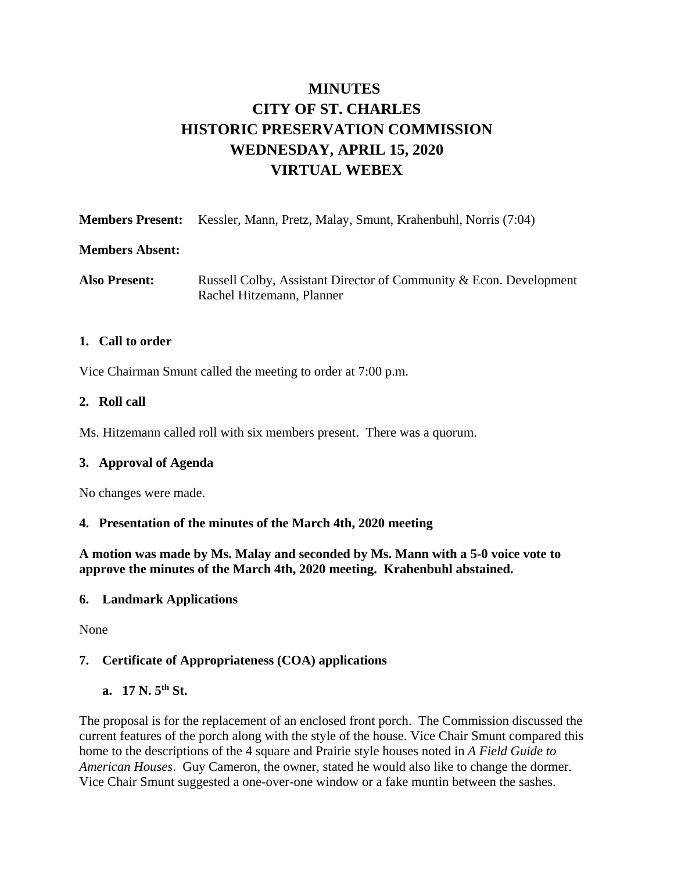# **MINUTES CITY OF ST. CHARLES HISTORIC PRESERVATION COMMISSION WEDNESDAY, APRIL 15, 2020 VIRTUAL WEBEX**

| <b>Members Present:</b> Kessler, Mann, Pretz, Malay, Smunt, Krahenbuhl, Norris (7:04) |  |  |  |
|---------------------------------------------------------------------------------------|--|--|--|
|                                                                                       |  |  |  |

#### **Members Absent:**

Also Present: Russell Colby, Assistant Director of Community & Econ. Development Rachel Hitzemann, Planner

#### **1. Call to order**

Vice Chairman Smunt called the meeting to order at 7:00 p.m.

#### **2. Roll call**

Ms. Hitzemann called roll with six members present. There was a quorum.

#### **3. Approval of Agenda**

No changes were made.

#### **4. Presentation of the minutes of the March 4th, 2020 meeting**

**A motion was made by Ms. Malay and seconded by Ms. Mann with a 5-0 voice vote to approve the minutes of the March 4th, 2020 meeting. Krahenbuhl abstained.**

#### **6. Landmark Applications**

None

#### **7. Certificate of Appropriateness (COA) applications**

**a. 17 N. 5th St.** 

The proposal is for the replacement of an enclosed front porch. The Commission discussed the current features of the porch along with the style of the house. Vice Chair Smunt compared this home to the descriptions of the 4 square and Prairie style houses noted in *A Field Guide to American Houses*. Guy Cameron, the owner, stated he would also like to change the dormer. Vice Chair Smunt suggested a one-over-one window or a fake muntin between the sashes.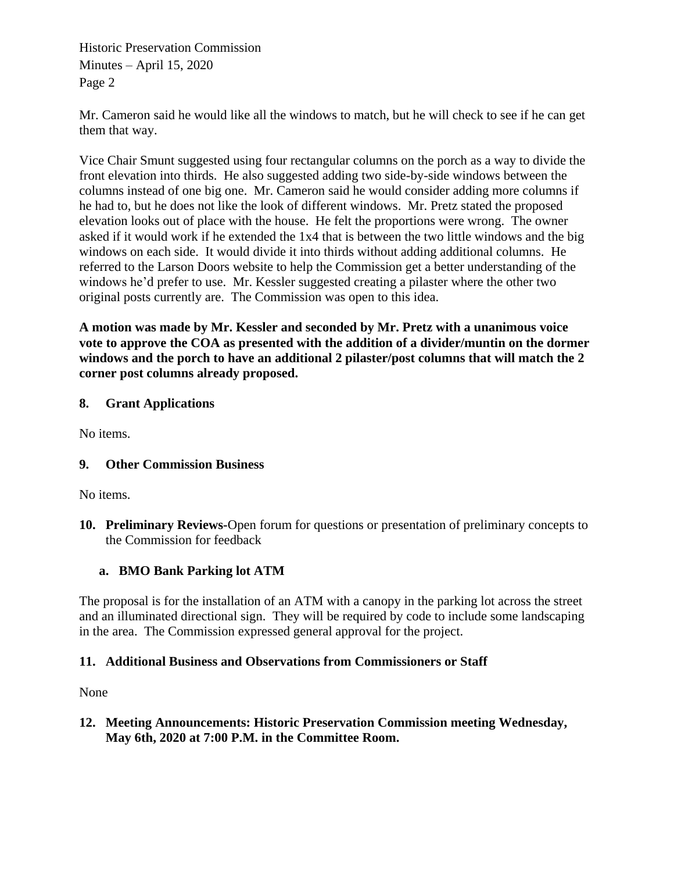Historic Preservation Commission Minutes – April 15, 2020 Page 2

Mr. Cameron said he would like all the windows to match, but he will check to see if he can get them that way.

Vice Chair Smunt suggested using four rectangular columns on the porch as a way to divide the front elevation into thirds. He also suggested adding two side-by-side windows between the columns instead of one big one. Mr. Cameron said he would consider adding more columns if he had to, but he does not like the look of different windows. Mr. Pretz stated the proposed elevation looks out of place with the house. He felt the proportions were wrong. The owner asked if it would work if he extended the 1x4 that is between the two little windows and the big windows on each side. It would divide it into thirds without adding additional columns. He referred to the Larson Doors website to help the Commission get a better understanding of the windows he'd prefer to use. Mr. Kessler suggested creating a pilaster where the other two original posts currently are. The Commission was open to this idea.

**A motion was made by Mr. Kessler and seconded by Mr. Pretz with a unanimous voice vote to approve the COA as presented with the addition of a divider/muntin on the dormer windows and the porch to have an additional 2 pilaster/post columns that will match the 2 corner post columns already proposed.** 

#### **8. Grant Applications**

No items.

## **9. Other Commission Business**

No items.

**10. Preliminary Reviews-**Open forum for questions or presentation of preliminary concepts to the Commission for feedback

## **a. BMO Bank Parking lot ATM**

The proposal is for the installation of an ATM with a canopy in the parking lot across the street and an illuminated directional sign. They will be required by code to include some landscaping in the area. The Commission expressed general approval for the project.

#### **11. Additional Business and Observations from Commissioners or Staff**

None

**12. Meeting Announcements: Historic Preservation Commission meeting Wednesday, May 6th, 2020 at 7:00 P.M. in the Committee Room.**